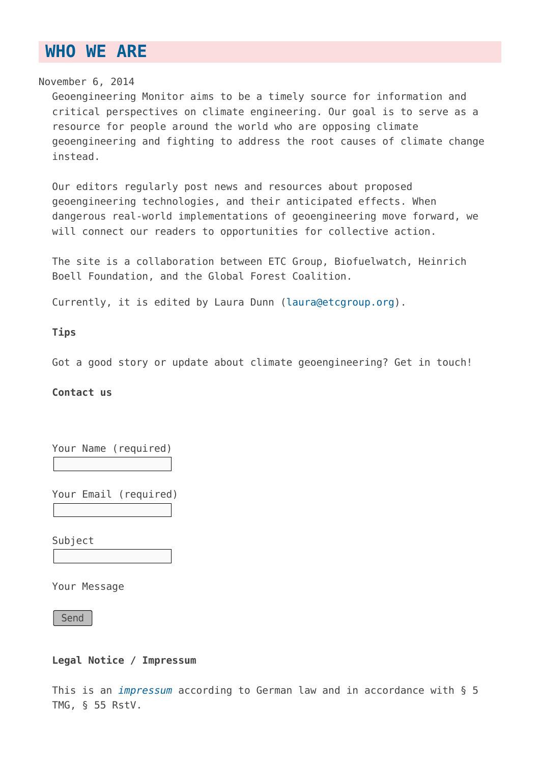## **[WHO WE ARE](https://www.geoengineeringmonitor.org/about/)**

November 6, 2014

Geoengineering Monitor aims to be a timely source for information and critical perspectives on climate engineering. Our goal is to serve as a resource for people around the world who are opposing climate geoengineering and fighting to address the root causes of climate change instead.

Our editors regularly post news and resources about proposed geoengineering technologies, and their anticipated effects. When dangerous real-world implementations of geoengineering move forward, we will connect our readers to opportunities for collective action.

The site is a collaboration between ETC Group, Biofuelwatch, Heinrich Boell Foundation, and the Global Forest Coalition.

Currently, it is edited by Laura Dunn ([laura@etcgroup.org\)](mailto:laura@etcgroup.org).

**Tips**

Got a good story or update about climate geoengineering? Get in touch!

**Contact us**

Your Name (required)

Your Email (required)

Subject

Your Message

Send

**Legal Notice / Impressum**

This is an *[impressum](https://en.wikipedia.org/wiki/Impressum)* according to German law and in accordance with § 5 TMG, § 55 RstV.